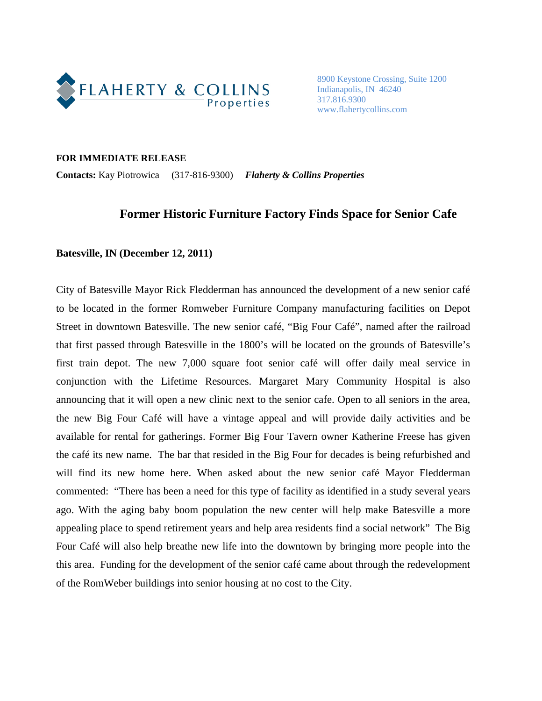

8900 Keystone Crossing, Suite 1200 Indianapolis, IN 46240 317.816.9300 www.flahertycollins.com

## **FOR IMMEDIATE RELEASE**

**Contacts:** Kay Piotrowica (317-816-9300) *Flaherty & Collins Properties*

## **Former Historic Furniture Factory Finds Space for Senior Cafe**

## **Batesville, IN (December 12, 2011)**

City of Batesville Mayor Rick Fledderman has announced the development of a new senior café to be located in the former Romweber Furniture Company manufacturing facilities on Depot Street in downtown Batesville. The new senior café, "Big Four Café", named after the railroad that first passed through Batesville in the 1800's will be located on the grounds of Batesville's first train depot. The new 7,000 square foot senior café will offer daily meal service in conjunction with the Lifetime Resources. Margaret Mary Community Hospital is also announcing that it will open a new clinic next to the senior cafe. Open to all seniors in the area, the new Big Four Café will have a vintage appeal and will provide daily activities and be available for rental for gatherings. Former Big Four Tavern owner Katherine Freese has given the café its new name. The bar that resided in the Big Four for decades is being refurbished and will find its new home here. When asked about the new senior café Mayor Fledderman commented: "There has been a need for this type of facility as identified in a study several years ago. With the aging baby boom population the new center will help make Batesville a more appealing place to spend retirement years and help area residents find a social network" The Big Four Café will also help breathe new life into the downtown by bringing more people into the this area. Funding for the development of the senior café came about through the redevelopment of the RomWeber buildings into senior housing at no cost to the City.